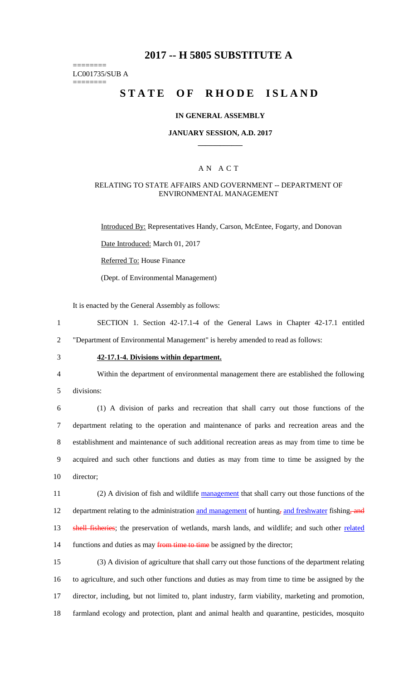# **2017 -- H 5805 SUBSTITUTE A**

======== LC001735/SUB A

========

# **STATE OF RHODE ISLAND**

#### **IN GENERAL ASSEMBLY**

#### **JANUARY SESSION, A.D. 2017 \_\_\_\_\_\_\_\_\_\_\_\_**

#### A N A C T

#### RELATING TO STATE AFFAIRS AND GOVERNMENT -- DEPARTMENT OF ENVIRONMENTAL MANAGEMENT

Introduced By: Representatives Handy, Carson, McEntee, Fogarty, and Donovan

Date Introduced: March 01, 2017

Referred To: House Finance

(Dept. of Environmental Management)

It is enacted by the General Assembly as follows:

1 SECTION 1. Section 42-17.1-4 of the General Laws in Chapter 42-17.1 entitled 2 "Department of Environmental Management" is hereby amended to read as follows:

## 3 **42-17.1-4. Divisions within department.**

4 Within the department of environmental management there are established the following

5 divisions:

 (1) A division of parks and recreation that shall carry out those functions of the department relating to the operation and maintenance of parks and recreation areas and the establishment and maintenance of such additional recreation areas as may from time to time be acquired and such other functions and duties as may from time to time be assigned by the director;

11 (2) A division of fish and wildlife management that shall carry out those functions of the 12 department relating to the administration and management of hunting, and freshwater fishing, and 13 shell fisheries; the preservation of wetlands, marsh lands, and wildlife; and such other related 14 functions and duties as may from time to time be assigned by the director;

 (3) A division of agriculture that shall carry out those functions of the department relating to agriculture, and such other functions and duties as may from time to time be assigned by the director, including, but not limited to, plant industry, farm viability, marketing and promotion, farmland ecology and protection, plant and animal health and quarantine, pesticides, mosquito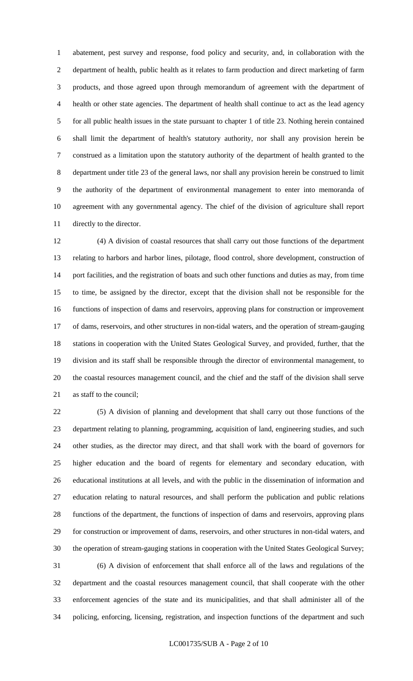abatement, pest survey and response, food policy and security, and, in collaboration with the department of health, public health as it relates to farm production and direct marketing of farm products, and those agreed upon through memorandum of agreement with the department of health or other state agencies. The department of health shall continue to act as the lead agency for all public health issues in the state pursuant to chapter 1 of title 23. Nothing herein contained shall limit the department of health's statutory authority, nor shall any provision herein be construed as a limitation upon the statutory authority of the department of health granted to the department under title 23 of the general laws, nor shall any provision herein be construed to limit the authority of the department of environmental management to enter into memoranda of agreement with any governmental agency. The chief of the division of agriculture shall report directly to the director.

 (4) A division of coastal resources that shall carry out those functions of the department relating to harbors and harbor lines, pilotage, flood control, shore development, construction of port facilities, and the registration of boats and such other functions and duties as may, from time to time, be assigned by the director, except that the division shall not be responsible for the functions of inspection of dams and reservoirs, approving plans for construction or improvement of dams, reservoirs, and other structures in non-tidal waters, and the operation of stream-gauging stations in cooperation with the United States Geological Survey, and provided, further, that the division and its staff shall be responsible through the director of environmental management, to the coastal resources management council, and the chief and the staff of the division shall serve as staff to the council;

 (5) A division of planning and development that shall carry out those functions of the department relating to planning, programming, acquisition of land, engineering studies, and such other studies, as the director may direct, and that shall work with the board of governors for higher education and the board of regents for elementary and secondary education, with educational institutions at all levels, and with the public in the dissemination of information and education relating to natural resources, and shall perform the publication and public relations functions of the department, the functions of inspection of dams and reservoirs, approving plans for construction or improvement of dams, reservoirs, and other structures in non-tidal waters, and the operation of stream-gauging stations in cooperation with the United States Geological Survey; (6) A division of enforcement that shall enforce all of the laws and regulations of the department and the coastal resources management council, that shall cooperate with the other enforcement agencies of the state and its municipalities, and that shall administer all of the policing, enforcing, licensing, registration, and inspection functions of the department and such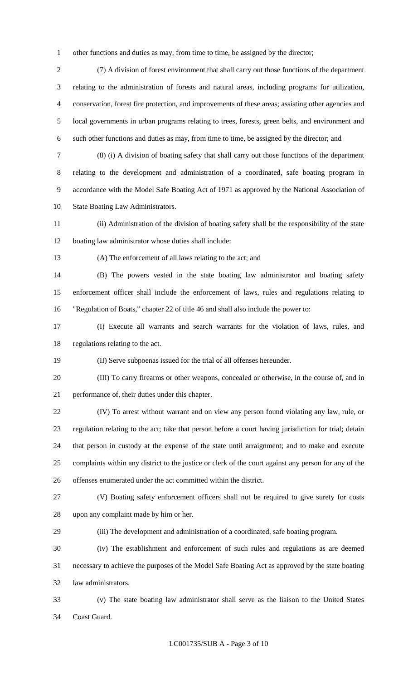other functions and duties as may, from time to time, be assigned by the director;

 (7) A division of forest environment that shall carry out those functions of the department relating to the administration of forests and natural areas, including programs for utilization, conservation, forest fire protection, and improvements of these areas; assisting other agencies and local governments in urban programs relating to trees, forests, green belts, and environment and such other functions and duties as may, from time to time, be assigned by the director; and

 (8) (i) A division of boating safety that shall carry out those functions of the department relating to the development and administration of a coordinated, safe boating program in accordance with the Model Safe Boating Act of 1971 as approved by the National Association of State Boating Law Administrators.

 (ii) Administration of the division of boating safety shall be the responsibility of the state boating law administrator whose duties shall include:

(A) The enforcement of all laws relating to the act; and

 (B) The powers vested in the state boating law administrator and boating safety enforcement officer shall include the enforcement of laws, rules and regulations relating to "Regulation of Boats," chapter 22 of title 46 and shall also include the power to:

 (I) Execute all warrants and search warrants for the violation of laws, rules, and regulations relating to the act.

(II) Serve subpoenas issued for the trial of all offenses hereunder.

 (III) To carry firearms or other weapons, concealed or otherwise, in the course of, and in performance of, their duties under this chapter.

 (IV) To arrest without warrant and on view any person found violating any law, rule, or regulation relating to the act; take that person before a court having jurisdiction for trial; detain that person in custody at the expense of the state until arraignment; and to make and execute complaints within any district to the justice or clerk of the court against any person for any of the offenses enumerated under the act committed within the district.

 (V) Boating safety enforcement officers shall not be required to give surety for costs upon any complaint made by him or her.

(iii) The development and administration of a coordinated, safe boating program.

 (iv) The establishment and enforcement of such rules and regulations as are deemed necessary to achieve the purposes of the Model Safe Boating Act as approved by the state boating law administrators.

 (v) The state boating law administrator shall serve as the liaison to the United States Coast Guard.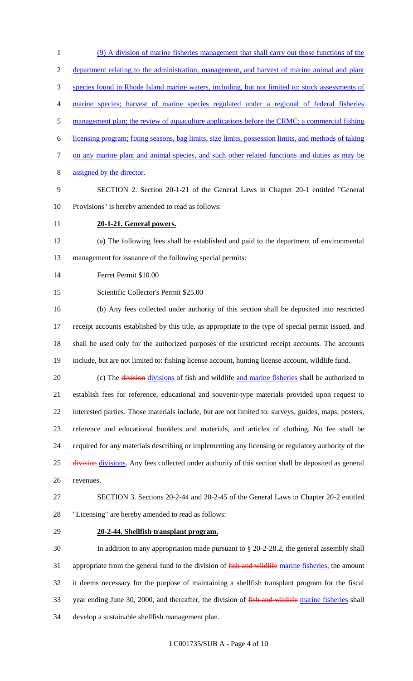(9) A division of marine fisheries management that shall carry out those functions of the department relating to the administration, management, and harvest of marine animal and plant species found in Rhode Island marine waters, including, but not limited to: stock assessments of marine species; harvest of marine species regulated under a regional of federal fisheries 5 management plan; the review of aquaculture applications before the CRMC; a commercial fishing licensing program; fixing seasons, bag limits, size limits, possession limits, and methods of taking 7 on any marine plant and animal species, and such other related functions and duties as may be assigned by the director. SECTION 2. Section 20-1-21 of the General Laws in Chapter 20-1 entitled "General Provisions" is hereby amended to read as follows: **20-1-21. General powers.** (a) The following fees shall be established and paid to the department of environmental management for issuance of the following special permits:

Ferret Permit \$10.00

Scientific Collector's Permit \$25.00

 (b) Any fees collected under authority of this section shall be deposited into restricted receipt accounts established by this title, as appropriate to the type of special permit issued, and shall be used only for the authorized purposes of the restricted receipt accounts. The accounts include, but are not limited to: fishing license account, hunting license account, wildlife fund.

20 (c) The division divisions of fish and wildlife and marine fisheries shall be authorized to establish fees for reference, educational and souvenir-type materials provided upon request to interested parties. Those materials include, but are not limited to: surveys, guides, maps, posters, reference and educational booklets and materials, and articles of clothing. No fee shall be required for any materials describing or implementing any licensing or regulatory authority of the 25 division divisions. Any fees collected under authority of this section shall be deposited as general revenues.

 SECTION 3. Sections 20-2-44 and 20-2-45 of the General Laws in Chapter 20-2 entitled "Licensing" are hereby amended to read as follows:

### **20-2-44. Shellfish transplant program.**

 In addition to any appropriation made pursuant to § 20-2-28.2, the general assembly shall 31 appropriate from the general fund to the division of fish and wildlife marine fisheries, the amount it deems necessary for the purpose of maintaining a shellfish transplant program for the fiscal 33 year ending June 30, 2000, and thereafter, the division of fish and wildlife marine fisheries shall develop a sustainable shellfish management plan.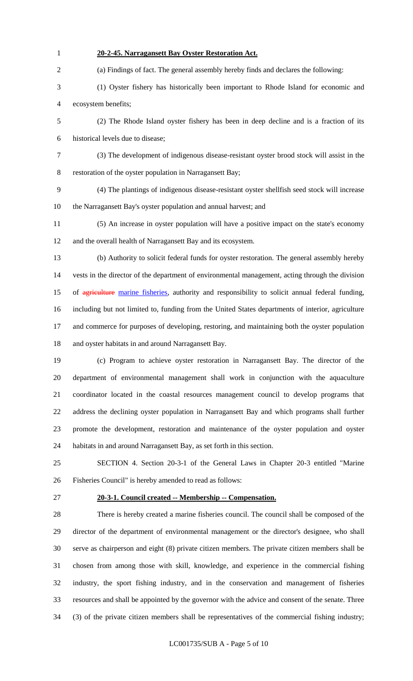| $\mathbf{1}$   | 20-2-45. Narragansett Bay Oyster Restoration Act.                                                 |
|----------------|---------------------------------------------------------------------------------------------------|
| $\overline{2}$ | (a) Findings of fact. The general assembly hereby finds and declares the following:               |
| 3              | (1) Oyster fishery has historically been important to Rhode Island for economic and               |
| 4              | ecosystem benefits;                                                                               |
| 5              | (2) The Rhode Island oyster fishery has been in deep decline and is a fraction of its             |
| 6              | historical levels due to disease;                                                                 |
| 7              | (3) The development of indigenous disease-resistant oyster brood stock will assist in the         |
| $8\,$          | restoration of the oyster population in Narragansett Bay;                                         |
| 9              | (4) The plantings of indigenous disease-resistant oyster shellfish seed stock will increase       |
| 10             | the Narragansett Bay's oyster population and annual harvest; and                                  |
| 11             | (5) An increase in oyster population will have a positive impact on the state's economy           |
| 12             | and the overall health of Narragansett Bay and its ecosystem.                                     |
| 13             | (b) Authority to solicit federal funds for oyster restoration. The general assembly hereby        |
| 14             | vests in the director of the department of environmental management, acting through the division  |
| 15             | of agriculture marine fisheries, authority and responsibility to solicit annual federal funding,  |
| 16             | including but not limited to, funding from the United States departments of interior, agriculture |
| 17             | and commerce for purposes of developing, restoring, and maintaining both the oyster population    |
| 18             | and oyster habitats in and around Narragansett Bay.                                               |
| 19             | (c) Program to achieve oyster restoration in Narragansett Bay. The director of the                |
| 20             | department of environmental management shall work in conjunction with the aquaculture             |
| 21             | coordinator located in the coastal resources management council to develop programs that          |
| 22             | address the declining oyster population in Narragansett Bay and which programs shall further      |
| 23             | promote the development, restoration and maintenance of the oyster population and oyster          |
| 24             | habitats in and around Narragansett Bay, as set forth in this section.                            |
| 25             | SECTION 4. Section 20-3-1 of the General Laws in Chapter 20-3 entitled "Marine"                   |
| 26             | Fisheries Council" is hereby amended to read as follows:                                          |
| 27             | 20-3-1. Council created -- Membership -- Compensation.                                            |
| 28             | There is hereby created a marine fisheries council. The council shall be composed of the          |
| 29             | director of the department of environmental management or the director's designee, who shall      |
| 30             | serve as chairperson and eight (8) private citizen members. The private citizen members shall be  |
| 31             | chosen from among those with skill, knowledge, and experience in the commercial fishing           |
| 32             | industry, the sport fishing industry, and in the conservation and management of fisheries         |

(3) of the private citizen members shall be representatives of the commercial fishing industry;

resources and shall be appointed by the governor with the advice and consent of the senate. Three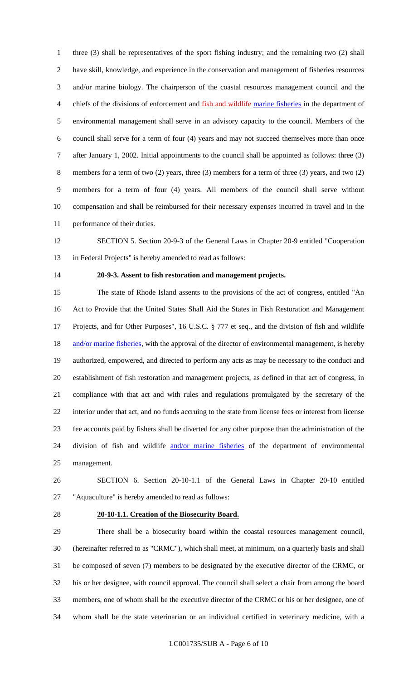three (3) shall be representatives of the sport fishing industry; and the remaining two (2) shall have skill, knowledge, and experience in the conservation and management of fisheries resources and/or marine biology. The chairperson of the coastal resources management council and the 4 chiefs of the divisions of enforcement and fish and wildlife marine fisheries in the department of environmental management shall serve in an advisory capacity to the council. Members of the council shall serve for a term of four (4) years and may not succeed themselves more than once after January 1, 2002. Initial appointments to the council shall be appointed as follows: three (3) members for a term of two (2) years, three (3) members for a term of three (3) years, and two (2) members for a term of four (4) years. All members of the council shall serve without compensation and shall be reimbursed for their necessary expenses incurred in travel and in the performance of their duties.

 SECTION 5. Section 20-9-3 of the General Laws in Chapter 20-9 entitled "Cooperation in Federal Projects" is hereby amended to read as follows:

#### **20-9-3. Assent to fish restoration and management projects.**

 The state of Rhode Island assents to the provisions of the act of congress, entitled "An Act to Provide that the United States Shall Aid the States in Fish Restoration and Management Projects, and for Other Purposes", 16 U.S.C. § 777 et seq., and the division of fish and wildlife 18 and/or marine fisheries, with the approval of the director of environmental management, is hereby authorized, empowered, and directed to perform any acts as may be necessary to the conduct and establishment of fish restoration and management projects, as defined in that act of congress, in compliance with that act and with rules and regulations promulgated by the secretary of the interior under that act, and no funds accruing to the state from license fees or interest from license fee accounts paid by fishers shall be diverted for any other purpose than the administration of the 24 division of fish and wildlife and/or marine fisheries of the department of environmental management.

 SECTION 6. Section 20-10-1.1 of the General Laws in Chapter 20-10 entitled "Aquaculture" is hereby amended to read as follows:

#### **20-10-1.1. Creation of the Biosecurity Board.**

 There shall be a biosecurity board within the coastal resources management council, (hereinafter referred to as "CRMC"), which shall meet, at minimum, on a quarterly basis and shall be composed of seven (7) members to be designated by the executive director of the CRMC, or his or her designee, with council approval. The council shall select a chair from among the board members, one of whom shall be the executive director of the CRMC or his or her designee, one of whom shall be the state veterinarian or an individual certified in veterinary medicine, with a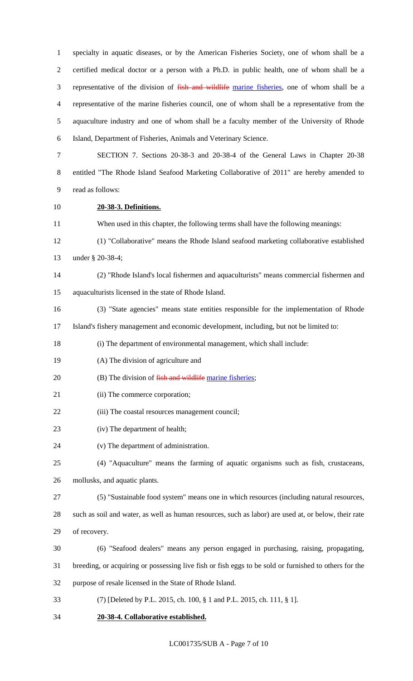specialty in aquatic diseases, or by the American Fisheries Society, one of whom shall be a certified medical doctor or a person with a Ph.D. in public health, one of whom shall be a representative of the division of fish and wildlife marine fisheries, one of whom shall be a representative of the marine fisheries council, one of whom shall be a representative from the aquaculture industry and one of whom shall be a faculty member of the University of Rhode Island, Department of Fisheries, Animals and Veterinary Science.

 SECTION 7. Sections 20-38-3 and 20-38-4 of the General Laws in Chapter 20-38 entitled "The Rhode Island Seafood Marketing Collaborative of 2011" are hereby amended to read as follows:

**20-38-3. Definitions.**

When used in this chapter, the following terms shall have the following meanings:

- (1) "Collaborative" means the Rhode Island seafood marketing collaborative established under § 20-38-4;
- (2) "Rhode Island's local fishermen and aquaculturists" means commercial fishermen and aquaculturists licensed in the state of Rhode Island.
- (3) "State agencies" means state entities responsible for the implementation of Rhode

Island's fishery management and economic development, including, but not be limited to:

(i) The department of environmental management, which shall include:

- (A) The division of agriculture and
- 20 (B) The division of fish and wildlife marine fisheries;
- 21 (ii) The commerce corporation;
- 22 (iii) The coastal resources management council;
- (iv) The department of health;
- (v) The department of administration.
- (4) "Aquaculture" means the farming of aquatic organisms such as fish, crustaceans,

mollusks, and aquatic plants.

(5) "Sustainable food system" means one in which resources (including natural resources,

 such as soil and water, as well as human resources, such as labor) are used at, or below, their rate of recovery.

- (6) "Seafood dealers" means any person engaged in purchasing, raising, propagating,
- breeding, or acquiring or possessing live fish or fish eggs to be sold or furnished to others for the
- purpose of resale licensed in the State of Rhode Island.
- (7) [Deleted by P.L. 2015, ch. 100, § 1 and P.L. 2015, ch. 111, § 1].
- **20-38-4. Collaborative established.**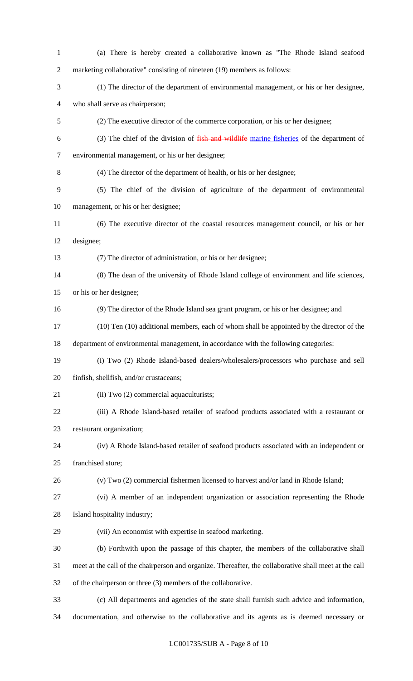| $\mathbf{1}$   | (a) There is hereby created a collaborative known as "The Rhode Island seafood                         |
|----------------|--------------------------------------------------------------------------------------------------------|
| $\overline{2}$ | marketing collaborative" consisting of nineteen (19) members as follows:                               |
| 3              | (1) The director of the department of environmental management, or his or her designee,                |
| $\overline{4}$ | who shall serve as chairperson;                                                                        |
| $\mathfrak{S}$ | (2) The executive director of the commerce corporation, or his or her designee;                        |
| 6              | (3) The chief of the division of fish and wildlife marine fisheries of the department of               |
| $\overline{7}$ | environmental management, or his or her designee;                                                      |
| $8\,$          | (4) The director of the department of health, or his or her designee;                                  |
| 9              | (5) The chief of the division of agriculture of the department of environmental                        |
| 10             | management, or his or her designee;                                                                    |
| 11             | (6) The executive director of the coastal resources management council, or his or her                  |
| 12             | designee;                                                                                              |
| 13             | (7) The director of administration, or his or her designee;                                            |
| 14             | (8) The dean of the university of Rhode Island college of environment and life sciences,               |
| 15             | or his or her designee;                                                                                |
| 16             | (9) The director of the Rhode Island sea grant program, or his or her designee; and                    |
| 17             | (10) Ten (10) additional members, each of whom shall be appointed by the director of the               |
| 18             | department of environmental management, in accordance with the following categories:                   |
| 19             | (i) Two (2) Rhode Island-based dealers/wholesalers/processors who purchase and sell                    |
| 20             | finfish, shellfish, and/or crustaceans;                                                                |
| 21             | (ii) Two (2) commercial aquaculturists;                                                                |
| 22             | (iii) A Rhode Island-based retailer of seafood products associated with a restaurant or                |
| 23             | restaurant organization;                                                                               |
| 24             | (iv) A Rhode Island-based retailer of seafood products associated with an independent or               |
| 25             | franchised store;                                                                                      |
| 26             | (v) Two (2) commercial fishermen licensed to harvest and/or land in Rhode Island;                      |
| 27             | (vi) A member of an independent organization or association representing the Rhode                     |
| 28             | Island hospitality industry;                                                                           |
| 29             | (vii) An economist with expertise in seafood marketing.                                                |
| 30             | (b) Forthwith upon the passage of this chapter, the members of the collaborative shall                 |
| 31             | meet at the call of the chairperson and organize. Thereafter, the collaborative shall meet at the call |
| 32             | of the chairperson or three (3) members of the collaborative.                                          |
| 33             | (c) All departments and agencies of the state shall furnish such advice and information,               |
| 34             | documentation, and otherwise to the collaborative and its agents as is deemed necessary or             |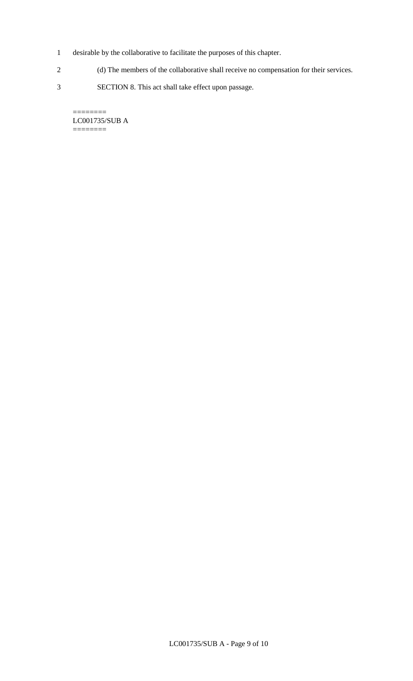- 1 desirable by the collaborative to facilitate the purposes of this chapter.
- 2 (d) The members of the collaborative shall receive no compensation for their services.
- 3 SECTION 8. This act shall take effect upon passage.

LC001735/SUB A ========

 $=$